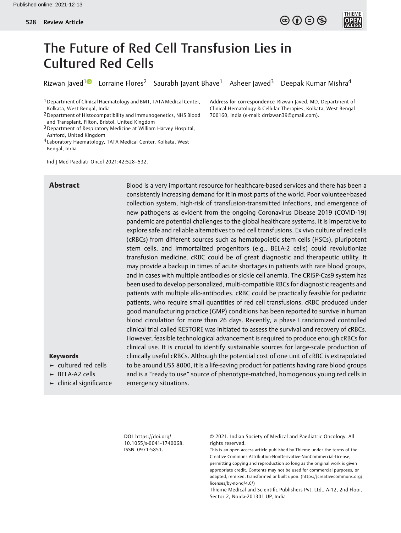Address for correspondence Rizwan Javed, MD, Department of Clinical Hematology & Cellular Therapies, Kolkata, West Bengal

700160, India (e-mail: [drrizwan39@gmail.com](mailto:drrizwan39@gmail.com)).



# The Future of Red Cell Transfusion Lies in Cultured Red Cells

Rizwan Javed<sup>[1](https://orcid.org/0000-0002-1961-3259)0</sup> Lorraine Flores<sup>2</sup> Saurabh Jayant Bhave<sup>1</sup> Asheer Jawed<sup>3</sup> Deepak Kumar Mishra<sup>4</sup>

1Department of Clinical Haematology and BMT, TATA Medical Center, Kolkata, West Bengal, India

2Department of Histocompatibility and Immunogenetics, NHS Blood and Transplant, Filton, Bristol, United Kingdom

3Department of Respiratory Medicine at William Harvey Hospital, Ashford, United Kingdom

4 Laboratory Haematology, TATA Medical Center, Kolkata, West Bengal, India

Ind J Med Paediatr Oncol 2021;42:528–532.

Abstract Blood is a very important resource for healthcare-based services and there has been a consistently increasing demand for it in most parts of the world. Poor volunteer-based collection system, high-risk of transfusion-transmitted infections, and emergence of new pathogens as evident from the ongoing Coronavirus Disease 2019 (COVID-19) pandemic are potential challenges to the global healthcare systems. It is imperative to explore safe and reliable alternatives to red cell transfusions. Ex vivo culture of red cells (cRBCs) from different sources such as hematopoietic stem cells (HSCs), pluripotent stem cells, and immortalized progenitors (e.g., BELA-2 cells) could revolutionize transfusion medicine. cRBC could be of great diagnostic and therapeutic utility. It may provide a backup in times of acute shortages in patients with rare blood groups, and in cases with multiple antibodies or sickle cell anemia. The CRISP-Cas9 system has been used to develop personalized, multi-compatible RBCs for diagnostic reagents and patients with multiple allo-antibodies. cRBC could be practically feasible for pediatric patients, who require small quantities of red cell transfusions. cRBC produced under good manufacturing practice (GMP) conditions has been reported to survive in human blood circulation for more than 26 days. Recently, a phase I randomized controlled clinical trial called RESTORE was initiated to assess the survival and recovery of cRBCs. However, feasible technological advancement is required to produce enough cRBCs for clinical use. It is crucial to identify sustainable sources for large-scale production of clinically useful cRBCs. Although the potential cost of one unit of cRBC is extrapolated to be around US\$ 8000, it is a life-saving product for patients having rare blood groups and is a "ready to use" source of phenotype-matched, homogenous young red cells in emergency situations.

#### Keywords

► cultured red cells

► BELA-A2 cells

► clinical significance

DOI [https://doi.org/](https://doi.org/10.1055/s-0041-1740068) [10.1055/s-0041-1740068](https://doi.org/10.1055/s-0041-1740068). ISSN 0971-5851.

© 2021. Indian Society of Medical and Paediatric Oncology. All rights reserved.

This is an open access article published by Thieme under the terms of the Creative Commons Attribution-NonDerivative-NonCommercial-License, permitting copying and reproduction so long as the original work is given appropriate credit. Contents may not be used for commercial purposes, or adapted, remixed, transformed or built upon. (https://creativecommons.org/ licenses/by-nc-nd/4.0/)

Thieme Medical and Scientific Publishers Pvt. Ltd., A-12, 2nd Floor, Sector 2, Noida-201301 UP, India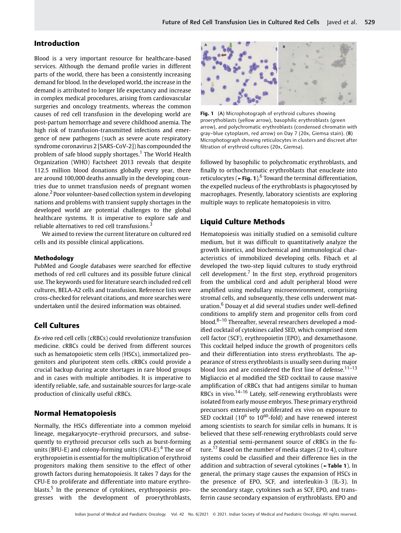# Introduction

Blood is a very important resource for healthcare-based services. Although the demand profile varies in different parts of the world, there has been a consistently increasing demand for blood. In the developed world, the increase in the demand is attributed to longer life expectancy and increase in complex medical procedures, arising from cardiovascular surgeries and oncology treatments, whereas the common causes of red cell transfusion in the developing world are post-partum hemorrhage and severe childhood anemia. The high risk of transfusion-transmitted infections and emergence of new pathogens (such as severe acute respiratory syndrome coronavirus 2 [SARS-CoV-2]) has compounded the problem of safe blood supply shortages.<sup>1</sup> The World Health Organization (WHO) Factsheet 2013 reveals that despite 112.5 million blood donations globally every year, there are around 100,000 deaths annually in the developing countries due to unmet transfusion needs of pregnant women alone.<sup>2</sup> Poor volunteer-based collection system in developing nations and problems with transient supply shortages in the developed world are potential challenges to the global healthcare systems. It is imperative to explore safe and reliable alternatives to red cell transfusions.<sup>3</sup>

We aimed to review the current literature on cultured red cells and its possible clinical applications.

#### Methodology

PubMed and Google databases were searched for effective methods of red cell cultures and its possible future clinical use. The keywords used for literature search included red cell cultures, BELA-A2 cells and transfusion. Reference lists were cross-checked for relevant citations, and more searches were undertaken until the desired information was obtained.

#### Cell Cultures

Ex-vivo red cell cells (cRBCs) could revolutionize transfusion medicine. cRBCs could be derived from different sources such as hematopoietic stem cells (HSCs), immortalized progenitors and pluripotent stem cells. cRBCs could provide a crucial backup during acute shortages in rare blood groups and in cases with multiple antibodies. It is imperative to identify reliable, safe, and sustainable sources for large-scale production of clinically useful cRBCs.

#### Normal Hematopoiesis

Normally, the HSCs differentiate into a common myeloid lineage, megakaryocyte–erythroid precursors, and subsequently to erythroid precursor cells such as burst-forming units (BFU-E) and colony-forming units (CFU-E).<sup>4</sup> The use of erythropoietin is essential for the multiplication of erythroid progenitors making them sensitive to the effect of other growth factors during hematopoiesis. It takes 7 days for the CFU-E to proliferate and differentiate into mature erythroblasts.<sup>5</sup> In the presence of cytokines, erythropoiesis progresses with the development of proerythroblasts,



Fig. 1 (A) Microphotograph of erythroid cultures showing proerythoblasts (yellow arrow), basophilic erythroblasts (green arrow), and polychromatic erythroblasts (condensed chromatin with gray–blue cytoplasm, red arrow) on Day 7 (20x, Giemsa stain). (B) Microphotograph showing reticulocytes in clusters and discreet after filtration of erythroid cultures (20x, Giemsa).

followed by basophilic to polychromatic erythroblasts, and finally to orthochromatic erythroblasts that enucleate into reticulocytes ( $\blacktriangleright$ Fig. 1).<sup>6</sup> Toward the terminal differentiation, the expelled nucleus of the erythroblasts is phagocytosed by macrophages. Presently, laboratory scientists are exploring multiple ways to replicate hematopoiesis in vitro.

# Liquid Culture Methods

Hematopoiesis was initially studied on a semisolid culture medium, but it was difficult to quantitatively analyze the growth kinetics, and biochemical and immunological characteristics of immobilized developing cells. Fibach et al developed the two-step liquid cultures to study erythroid cell development.<sup>7</sup> In the first step, erythroid progenitors from the umbilical cord and adult peripheral blood were amplified using medullary microenvironment, comprising stromal cells, and subsequently, these cells underwent maturation.<sup>6</sup> Douay et al did several studies under well-defined conditions to amplify stem and progenitor cells from cord blood. $8-10$  Thereafter, several researchers developed a modified cocktail of cytokines called SED, which comprised stem cell factor (SCF), erythropoietin (EPO), and dexamethasone. This cocktail helped induce the growth of progenitors cells and their differentiation into stress erythroblasts. The appearance of stress erythroblasts is usually seen during major blood loss and are considered the first line of defense.<sup>11–13</sup> Migliaccio et al modified the SED cocktail to cause massive amplification of cRBCs that had antigens similar to human RBCs in vivo.<sup>14–16</sup> Lately, self-renewing erythroblasts were isolated from early mouse embryos. These primary erythroid precursors extensively proliferated ex vivo on exposure to SED cocktail ( $10^6$  to  $10^{60}$ -fold) and have renewed interest among scientists to search for similar cells in humans. It is believed that these self-renewing erythroblasts could serve as a potential semi-permanent source of cRBCs in the future.<sup>17</sup> Based on the number of media stages (2 to 4), culture systems could be classified and their difference lies in the addition and subtraction of several cytokines (►Table 1). In general, the primary stage causes the expansion of HSCs in the presence of EPO, SCF, and interleukin-3 (IL-3). In the secondary stage, cytokines such as SCF, EPO, and transferrin cause secondary expansion of erythroblasts. EPO and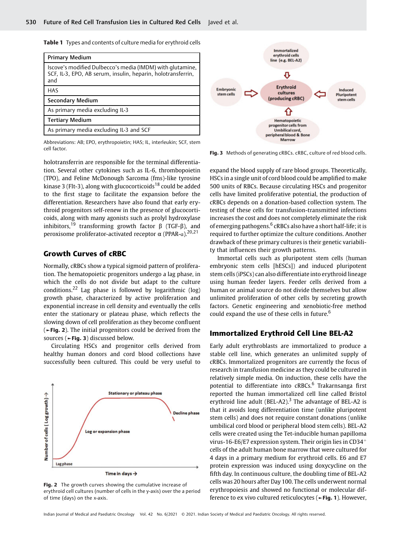Table 1 Types and contents of culture media for erythroid cells

| <b>Primary Medium</b>                                                                                                            |
|----------------------------------------------------------------------------------------------------------------------------------|
| Iscove's modified Dulbecco's media (IMDM) with glutamine,<br>SCF, IL-3, EPO, AB serum, insulin, heparin, holotransferrin,<br>and |
| <b>HAS</b>                                                                                                                       |
| Secondary Medium                                                                                                                 |
| As primary media excluding IL-3                                                                                                  |
| <b>Tertiary Medium</b>                                                                                                           |
| As primary media excluding IL-3 and SCF                                                                                          |

Abbreviations: AB; EPO, erythropoietin; HAS; IL, interleukin; SCF, stem cell factor.

holotransferrin are responsible for the terminal differentiation. Several other cytokines such as IL-6, thrombopoietin (TPO), and Feline McDonough Sarcoma (fms)-like tyrosine kinase 3 (Flt-3), along with glucocorticoids<sup>18</sup> could be added to the first stage to facilitate the expansion before the differentiation. Researchers have also found that early erythroid progenitors self-renew in the presence of glucocorticoids, along with many agonists such as prolyl hydroxylase inhibitors,<sup>19</sup> transforming growth factor  $\beta$  (TGF- $\beta$ ), and peroxisome proliferator-activated receptor  $\alpha$  (PPAR-α).<sup>20,21</sup>

# Growth Curves of cRBC

Normally, cRBCs show a typical sigmoid pattern of proliferation. The hematopoietic progenitors undergo a lag phase, in which the cells do not divide but adapt to the culture conditions.<sup>22</sup> Lag phase is followed by logarithmic (log) growth phase, characterized by active proliferation and exponential increase in cell density and eventually the cells enter the stationary or plateau phase, which reflects the slowing down of cell proliferation as they become confluent (►Fig. 2). The initial progenitors could be derived from the sources (►Fig. 3) discussed below.

Circulating HSCs and progenitor cells derived from healthy human donors and cord blood collections have successfully been cultured. This could be very useful to



Fig. 2 The growth curves showing the cumulative increase of erythroid cell cultures (number of cells in the y-axis) over the a period of time (days) on the x-axis.



Fig. 3 Methods of generating cRBCs. cRBC, culture of red blood cells.

expand the blood supply of rare blood groups. Theoretically, HSCs in a single unit of cord blood could be amplified to make 500 units of RBCs. Because circulating HSCs and progenitor cells have limited proliferative potential, the production of cRBCs depends on a donation-based collection system. The testing of these cells for transfusion-transmitted infections increases the cost and does not completely eliminate the risk of emerging pathogens.<sup>6</sup> cRBCs also have a short half-life; it is required to further optimize the culture conditions. Another drawback of these primary cultures is their genetic variability that influences their growth patterns.

Immortal cells such as pluripotent stem cells (human embryonic stem cells [hESCs]) and induced pluripotent stem cells (iPSCs) can also differentiate into erythroid lineage using human feeder layers. Feeder cells derived from a human or animal source do not divide themselves but allow unlimited proliferation of other cells by secreting growth factors. Genetic engineering and xenobiotic-free method could expand the use of these cells in future.<sup>6</sup>

#### Immortalized Erythroid Cell Line BEL-A2

Early adult erythroblasts are immortalized to produce a stable cell line, which generates an unlimited supply of cRBCs. Immortalized progenitors are currently the focus of research in transfusion medicine as they could be cultured in relatively simple media. On induction, these cells have the potential to differentiate into cRBCs.<sup>6</sup> Trakarnsanga first reported the human immortalized cell line called Bristol erythroid line adult (BEL-A2).<sup>3</sup> The advantage of BEL-A2 is that it avoids long differentiation time (unlike pluripotent stem cells) and does not require constant donations (unlike umbilical cord blood or peripheral blood stem cells). BEL-A2 cells were created using the Tet-inducible human papilloma virus-16-E6/E7 expression system. Their origin lies in  $CD34<sup>+</sup>$ cells of the adult human bone marrow that were cultured for 4 days in a primary medium for erythroid cells. E6 and E7 protein expression was induced using doxycycline on the fifth day. In continuous culture, the doubling time of BEL-A2 cells was 20 hours after Day 100. The cells underwent normal erythropoiesis and showed no functional or molecular difference to ex vivo cultured reticulocytes (►Fig. 1). However,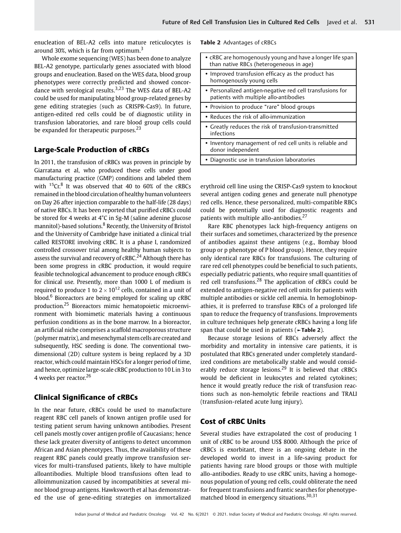enucleation of BEL-A2 cells into mature reticulocytes is around 30%, which is far from optimum.<sup>3</sup>

Whole exome sequencing (WES) has been done to analyze BEL-A2 genotype, particularly genes associated with blood groups and enucleation. Based on the WES data, blood group phenotypes were correctly predicted and showed concordance with serological results.<sup>3,23</sup> The WES data of BEL-A2 could be used for manipulating blood group-related genes by gene editing strategies (such as CRISPR-Cas9). In future, antigen-edited red cells could be of diagnostic utility in transfusion laboratories, and rare blood group cells could be expanded for therapeutic purposes. $^{23}$ 

#### Large-Scale Production of cRBCs

In 2011, the transfusion of cRBCs was proven in principle by Giarratana et al, who produced these cells under good manufacturing practice (GMP) conditions and labeled them with  $^{15}$ Cr. $^{8}$  It was observed that 40 to 60% of the cRBCs remained in the blood circulation of healthy human volunteers on Day 26 after injection comparable to the half-life (28 days) of native RBCs. It has been reported that purified cRBCs could be stored for 4 weeks at 4°C in Sg-M (saline adenine glucose mannitol)-based solutions.<sup>8</sup> Recently, the University of Bristol and the University of Cambridge have initiated a clinical trial called RESTORE involving cRBC. It is a phase I, randomized controlled crossover trial among healthy human subjects to assess the survival and recovery of  $CRBC<sup>24</sup>$  Although there has been some progress in cRBC production, it would require feasible technological advancement to produce enough cRBCs for clinical use. Presently, more than 1000 L of medium is required to produce 1 to  $2 \times 10^{12}$  cells, contained in a unit of blood.<sup>6</sup> Bioreactors are being employed for scaling up cRBC production.<sup>25</sup> Bioreactors mimic hematopoietic microenvironment with biomimetic materials having a continuous perfusion conditions as in the bone marrow. In a bioreactor, an artificial niche comprises a scaffold macroporous structure (polymer matrix), and mesenchymal stem cells are created and subsequently, HSC seeding is done. The conventional twodimensional (2D) culture system is being replaced by a 3D reactor, which could maintain HSCs for a longer period of time, and hence, optimizelarge-scale cRBC production to 10 L in 3 to 4 weeks per reactor.<sup>26</sup>

## Clinical Significance of cRBCs

In the near future, cRBCs could be used to manufacture reagent RBC cell panels of known antigen profile used for testing patient serum having unknown antibodies. Present cell panels mostly cover antigen profile of Caucasians; hence these lack greater diversity of antigens to detect uncommon African and Asian phenotypes. Thus, the availability of these reagent RBC panels could greatly improve transfusion services for multi-transfused patients, likely to have multiple alloantibodies. Multiple blood transfusions often lead to alloimmunization caused by incompatibities at several minor blood group antigens. Hawksworth et al has demonstrated the use of gene-editing strategies on immortalized

|  |  | Table 2 Advantages of cRBCs |  |  |
|--|--|-----------------------------|--|--|
|--|--|-----------------------------|--|--|

| • cRBC are homogenously young and have a longer life span<br>than native RBCs (heterogeneous in age) |
|------------------------------------------------------------------------------------------------------|
| Improved transfusion efficacy as the product has<br>homogenously young cells                         |
| • Personalized antigen-negative red cell transfusions for<br>patients with multiple allo-antibodies  |
| • Provision to produce "rare" blood groups                                                           |
| • Reduces the risk of allo-immunization                                                              |
| • Greatly reduces the risk of transfusion-transmitted<br>infections                                  |
| Inventory management of red cell units is reliable and<br>donor independent                          |
| Diagnostic use in transfusion laboratories                                                           |

erythroid cell line using the CRISP-Cas9 system to knockout several antigen coding genes and generate null phenotype red cells. Hence, these personalized, multi-compatible RBCs could be potentially used for diagnostic reagents and patients with multiple allo-antibodies.<sup>27</sup>

Rare RBC phenotypes lack high-frequency antigens on their surfaces and sometimes, characterized by the presence of antibodies against these antigens (e.g., Bombay blood group or p phenotype of P blood group). Hence, they require only identical rare RBCs for transfusions. The culturing of rare red cell phenotypes could be beneficial to such patients, especially pediatric patients, who require small quantities of red cell transfusions.<sup>28</sup> The application of cRBCs could be extended to antigen-negative red cell units for patients with multiple antibodies or sickle cell anemia. In hemoglobinopathies, it is preferred to transfuse RBCs of a prolonged life span to reduce the frequency of transfusions. Improvements in culture techniques help generate cRBCs having a long life span that could be used in patients  $($  -Table 2).

Because storage lesions of RBCs adversely affect the morbidity and mortality in intensive care patients, it is postulated that RBCs generated under completely standardized conditions are metabolically stable and would considerably reduce storage lesions.<sup>29</sup> It is believed that  $CRBCs$ would be deficient in leukocytes and related cytokines; hence it would greatly reduce the risk of transfusion reactions such as non-hemolytic febrile reactions and TRALI (transfusion-related acute lung injury).

#### Cost of cRBC Units

Several studies have extrapolated the cost of producing 1 unit of cRBC to be around US\$ 8000. Although the price of cRBCs is exorbitant, there is an ongoing debate in the developed world to invest in a life-saving product for patients having rare blood groups or those with multiple allo-antibodies. Ready to use cRBC units, having a homogenous population of young red cells, could obliterate the need for frequent transfusions and frantic searches for phenotypematched blood in emergency situations.<sup>30,31</sup>